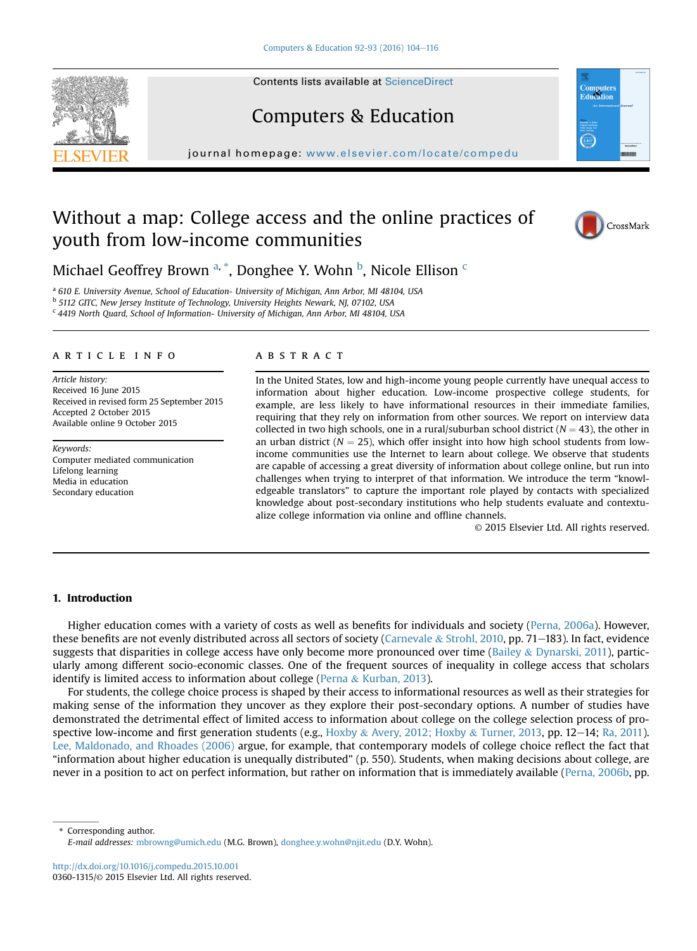Contents lists available at [ScienceDirect](www.sciencedirect.com/science/journal/03601315)



# Computers & Education

journal homepage: <www.elsevier.com/locate/compedu>

## Without a map: College access and the online practices of youth from low-income communities





Michael Geoffrey Brown <sup>a,</sup> \*, Donghee Y. Wohn <sup>b</sup>, Nicole Ellison <sup>c</sup>

<sup>a</sup> 610 E. University Avenue, School of Education- University of Michigan, Ann Arbor, MI 48104, USA <sup>b</sup> 5112 GITC, New Jersey Institute of Technology, University Heights Newark, NJ, 07102, USA

<sup>c</sup> 4419 North Quard, School of Information- University of Michigan, Ann Arbor, MI 48104, USA

## article info

Article history: Received 16 June 2015 Received in revised form 25 September 2015 Accepted 2 October 2015 Available online 9 October 2015

Keywords: Computer mediated communication Lifelong learning Media in education Secondary education

## **ABSTRACT**

In the United States, low and high-income young people currently have unequal access to information about higher education. Low-income prospective college students, for example, are less likely to have informational resources in their immediate families, requiring that they rely on information from other sources. We report on interview data collected in two high schools, one in a rural/suburban school district ( $N = 43$ ), the other in an urban district ( $N = 25$ ), which offer insight into how high school students from lowincome communities use the Internet to learn about college. We observe that students are capable of accessing a great diversity of information about college online, but run into challenges when trying to interpret of that information. We introduce the term "knowledgeable translators" to capture the important role played by contacts with specialized knowledge about post-secondary institutions who help students evaluate and contextualize college information via online and offline channels.

© 2015 Elsevier Ltd. All rights reserved.

## 1. Introduction

Higher education comes with a variety of costs as well as benefits for individuals and society ([Perna, 2006a](#page-12-0)). However, these benefits are not evenly distributed across all sectors of society ([Carnevale](#page-11-0) & [Strohl, 2010](#page-11-0), pp. 71–183). In fact, evidence suggests that disparities in college access have only become more pronounced over time ([Bailey](#page-11-0) & [Dynarski, 2011\)](#page-11-0), particularly among different socio-economic classes. One of the frequent sources of inequality in college access that scholars identify is limited access to information about college [\(Perna](#page-12-0)  $&$  [Kurban, 2013](#page-12-0)).

For students, the college choice process is shaped by their access to informational resources as well as their strategies for making sense of the information they uncover as they explore their post-secondary options. A number of studies have demonstrated the detrimental effect of limited access to information about college on the college selection process of pro-spective low-income and first generation students (e.g., [Hoxby](#page-11-0) & [Avery, 2012; Hoxby](#page-11-0) & [Turner, 2013](#page-11-0), pp. 12–14; [Ra, 2011](#page-12-0)). [Lee, Maldonado, and Rhoades \(2006\)](#page-12-0) argue, for example, that contemporary models of college choice reflect the fact that "information about higher education is unequally distributed" (p. 550). Students, when making decisions about college, are never in a position to act on perfect information, but rather on information that is immediately available ([Perna, 2006b](#page-12-0), pp.

\* Corresponding author. E-mail addresses: [mbrowng@umich.edu](mailto:mbrowng@umich.edu) (M.G. Brown), [donghee.y.wohn@njit.edu](mailto:donghee.y.wohn@njit.edu) (D.Y. Wohn).

<http://dx.doi.org/10.1016/j.compedu.2015.10.001> 0360-1315/© 2015 Elsevier Ltd. All rights reserved.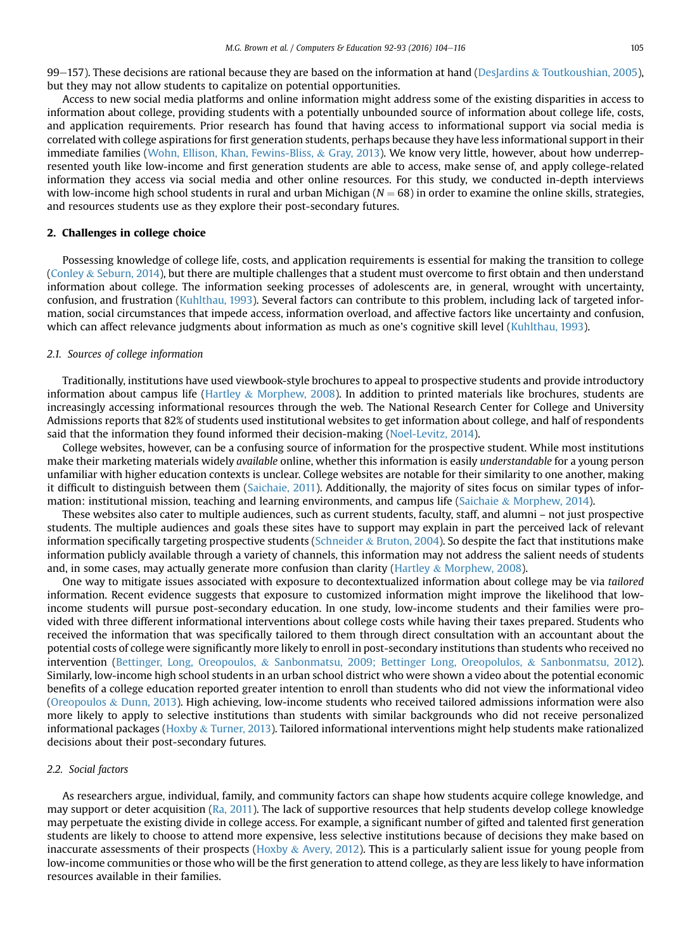99–157). These decisions are rational because they are based on the information at hand ([DesJardins](#page-11-0) & [Toutkoushian, 2005](#page-11-0)), but they may not allow students to capitalize on potential opportunities.

Access to new social media platforms and online information might address some of the existing disparities in access to information about college, providing students with a potentially unbounded source of information about college life, costs, and application requirements. Prior research has found that having access to informational support via social media is correlated with college aspirations for first generation students, perhaps because they have less informational support in their immediate families [\(Wohn, Ellison, Khan, Fewins-Bliss,](#page-12-0) & [Gray, 2013\)](#page-12-0). We know very little, however, about how underrepresented youth like low-income and first generation students are able to access, make sense of, and apply college-related information they access via social media and other online resources. For this study, we conducted in-depth interviews with low-income high school students in rural and urban Michigan ( $N = 68$ ) in order to examine the online skills, strategies, and resources students use as they explore their post-secondary futures.

## 2. Challenges in college choice

Possessing knowledge of college life, costs, and application requirements is essential for making the transition to college ([Conley](#page-11-0) & [Seburn, 2014\)](#page-11-0), but there are multiple challenges that a student must overcome to first obtain and then understand information about college. The information seeking processes of adolescents are, in general, wrought with uncertainty, confusion, and frustration [\(Kuhlthau, 1993](#page-12-0)). Several factors can contribute to this problem, including lack of targeted information, social circumstances that impede access, information overload, and affective factors like uncertainty and confusion, which can affect relevance judgments about information as much as one's cognitive skill level [\(Kuhlthau, 1993](#page-12-0)).

#### 2.1. Sources of college information

Traditionally, institutions have used viewbook-style brochures to appeal to prospective students and provide introductory information about campus life [\(Hartley](#page-11-0) & [Morphew, 2008\)](#page-11-0). In addition to printed materials like brochures, students are increasingly accessing informational resources through the web. The National Research Center for College and University Admissions reports that 82% of students used institutional websites to get information about college, and half of respondents said that the information they found informed their decision-making ([Noel-Levitz, 2014](#page-12-0)).

College websites, however, can be a confusing source of information for the prospective student. While most institutions make their marketing materials widely available online, whether this information is easily understandable for a young person unfamiliar with higher education contexts is unclear. College websites are notable for their similarity to one another, making it difficult to distinguish between them ([Saichaie, 2011\)](#page-12-0). Additionally, the majority of sites focus on similar types of information: institutional mission, teaching and learning environments, and campus life ([Saichaie](#page-12-0) & [Morphew, 2014](#page-12-0)).

These websites also cater to multiple audiences, such as current students, faculty, staff, and alumni – not just prospective students. The multiple audiences and goals these sites have to support may explain in part the perceived lack of relevant information specifically targeting prospective students [\(Schneider](#page-12-0) & [Bruton, 2004](#page-12-0)). So despite the fact that institutions make information publicly available through a variety of channels, this information may not address the salient needs of students and, in some cases, may actually generate more confusion than clarity [\(Hartley](#page-11-0) & [Morphew, 2008\)](#page-11-0).

One way to mitigate issues associated with exposure to decontextualized information about college may be via tailored information. Recent evidence suggests that exposure to customized information might improve the likelihood that lowincome students will pursue post-secondary education. In one study, low-income students and their families were provided with three different informational interventions about college costs while having their taxes prepared. Students who received the information that was specifically tailored to them through direct consultation with an accountant about the potential costs of college were significantly more likely to enroll in post-secondary institutions than students who received no intervention ([Bettinger, Long, Oreopoulos,](#page-11-0) & [Sanbonmatsu, 2009; Bettinger Long, Oreopolulos,](#page-11-0) & [Sanbonmatsu, 2012](#page-11-0)). Similarly, low-income high school students in an urban school district who were shown a video about the potential economic benefits of a college education reported greater intention to enroll than students who did not view the informational video ([Oreopoulos](#page-12-0) & [Dunn, 2013](#page-12-0)). High achieving, low-income students who received tailored admissions information were also more likely to apply to selective institutions than students with similar backgrounds who did not receive personalized informational packages ([Hoxby](#page-11-0) & [Turner, 2013\)](#page-11-0). Tailored informational interventions might help students make rationalized decisions about their post-secondary futures.

## 2.2. Social factors

As researchers argue, individual, family, and community factors can shape how students acquire college knowledge, and may support or deter acquisition [\(Ra, 2011](#page-12-0)). The lack of supportive resources that help students develop college knowledge may perpetuate the existing divide in college access. For example, a significant number of gifted and talented first generation students are likely to choose to attend more expensive, less selective institutions because of decisions they make based on inaccurate assessments of their prospects [\(Hoxby](#page-11-0) & [Avery, 2012\)](#page-11-0). This is a particularly salient issue for young people from low-income communities or those who will be the first generation to attend college, as they are less likely to have information resources available in their families.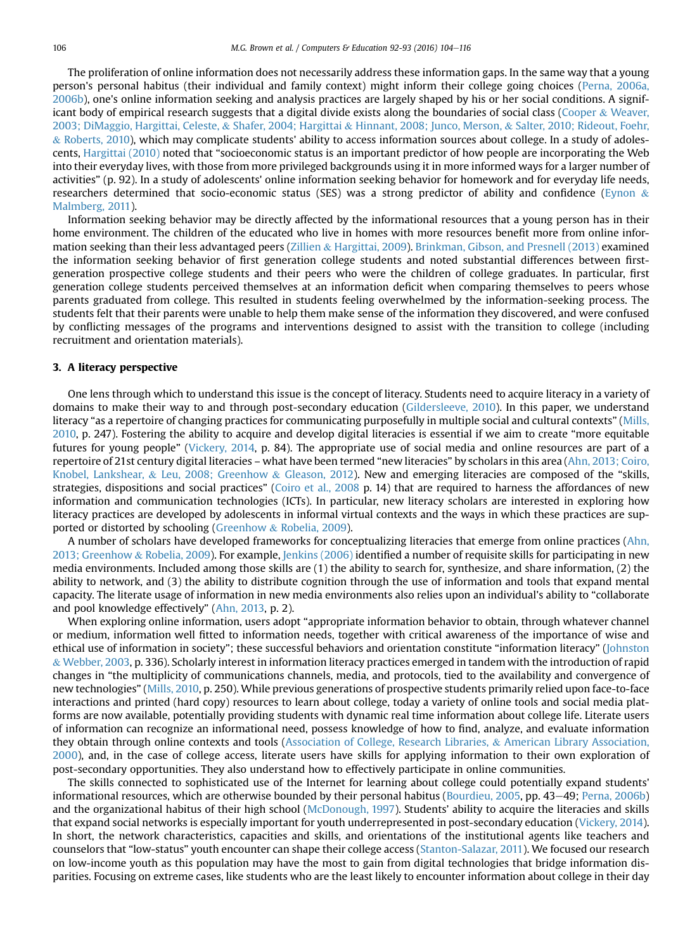The proliferation of online information does not necessarily address these information gaps. In the same way that a young person's personal habitus (their individual and family context) might inform their college going choices ([Perna, 2006a,](#page-12-0) [2006b](#page-12-0)), one's online information seeking and analysis practices are largely shaped by his or her social conditions. A signif-icant body of empirical research suggests that a digital divide exists along the boundaries of social class [\(Cooper](#page-11-0)  $&$  [Weaver,](#page-11-0) [2003; DiMaggio, Hargittai, Celeste,](#page-11-0) & [Shafer, 2004; Hargittai](#page-11-0) & [Hinnant, 2008; Junco, Merson,](#page-11-0) & [Salter, 2010; Rideout, Foehr,](#page-11-0) & [Roberts, 2010](#page-11-0)), which may complicate students' ability to access information sources about college. In a study of adolescents, [Hargittai \(2010\)](#page-11-0) noted that "socioeconomic status is an important predictor of how people are incorporating the Web into their everyday lives, with those from more privileged backgrounds using it in more informed ways for a larger number of activities" (p. 92). In a study of adolescents' online information seeking behavior for homework and for everyday life needs, researchers determined that socio-economic status (SES) was a strong predictor of ability and confidence ([Eynon](#page-11-0)  $\&$ [Malmberg, 2011](#page-11-0)).

Information seeking behavior may be directly affected by the informational resources that a young person has in their home environment. The children of the educated who live in homes with more resources benefit more from online information seeking than their less advantaged peers [\(Zillien](#page-12-0) & [Hargittai, 2009\)](#page-12-0). [Brinkman, Gibson, and Presnell \(2013\)](#page-11-0) examined the information seeking behavior of first generation college students and noted substantial differences between firstgeneration prospective college students and their peers who were the children of college graduates. In particular, first generation college students perceived themselves at an information deficit when comparing themselves to peers whose parents graduated from college. This resulted in students feeling overwhelmed by the information-seeking process. The students felt that their parents were unable to help them make sense of the information they discovered, and were confused by conflicting messages of the programs and interventions designed to assist with the transition to college (including recruitment and orientation materials).

## 3. A literacy perspective

One lens through which to understand this issue is the concept of literacy. Students need to acquire literacy in a variety of domains to make their way to and through post-secondary education [\(Gildersleeve, 2010](#page-11-0)). In this paper, we understand literacy "as a repertoire of changing practices for communicating purposefully in multiple social and cultural contexts" ([Mills,](#page-12-0) [2010](#page-12-0), p. 247). Fostering the ability to acquire and develop digital literacies is essential if we aim to create "more equitable futures for young people" [\(Vickery, 2014,](#page-12-0) p. 84). The appropriate use of social media and online resources are part of a repertoire of 21st century digital literacies – what have been termed "new literacies" by scholars in this area ([Ahn, 2013; Coiro,](#page-11-0) [Knobel, Lankshear,](#page-11-0) & [Leu, 2008; Greenhow](#page-11-0) & [Gleason, 2012](#page-11-0)). New and emerging literacies are composed of the "skills, strategies, dispositions and social practices" ([Coiro et al., 2008](#page-11-0) p. 14) that are required to harness the affordances of new information and communication technologies (ICTs). In particular, new literacy scholars are interested in exploring how literacy practices are developed by adolescents in informal virtual contexts and the ways in which these practices are supported or distorted by schooling ([Greenhow](#page-11-0) & [Robelia, 2009\)](#page-11-0).

A number of scholars have developed frameworks for conceptualizing literacies that emerge from online practices [\(Ahn,](#page-11-0) [2013; Greenhow](#page-11-0) & [Robelia, 2009](#page-11-0)). For example, [Jenkins \(2006\)](#page-11-0) identified a number of requisite skills for participating in new media environments. Included among those skills are (1) the ability to search for, synthesize, and share information, (2) the ability to network, and (3) the ability to distribute cognition through the use of information and tools that expand mental capacity. The literate usage of information in new media environments also relies upon an individual's ability to "collaborate and pool knowledge effectively" ([Ahn, 2013,](#page-11-0) p. 2).

When exploring online information, users adopt "appropriate information behavior to obtain, through whatever channel or medium, information well fitted to information needs, together with critical awareness of the importance of wise and ethical use of information in society"; these successful behaviors and orientation constitute "information literacy" [\(Johnston](#page-11-0) & [Webber, 2003](#page-11-0), p. 336). Scholarly interest in information literacy practices emerged in tandem with the introduction of rapid changes in "the multiplicity of communications channels, media, and protocols, tied to the availability and convergence of new technologies" [\(Mills, 2010](#page-12-0), p. 250). While previous generations of prospective students primarily relied upon face-to-face interactions and printed (hard copy) resources to learn about college, today a variety of online tools and social media platforms are now available, potentially providing students with dynamic real time information about college life. Literate users of information can recognize an informational need, possess knowledge of how to find, analyze, and evaluate information they obtain through online contexts and tools [\(Association of College, Research Libraries,](#page-11-0) & [American Library Association,](#page-11-0) [2000\)](#page-11-0), and, in the case of college access, literate users have skills for applying information to their own exploration of post-secondary opportunities. They also understand how to effectively participate in online communities.

The skills connected to sophisticated use of the Internet for learning about college could potentially expand students' informational resources, which are otherwise bounded by their personal habitus ([Bourdieu, 2005,](#page-11-0) pp. 43–49; [Perna, 2006b](#page-12-0)) and the organizational habitus of their high school [\(McDonough, 1997](#page-12-0)). Students' ability to acquire the literacies and skills that expand social networks is especially important for youth underrepresented in post-secondary education [\(Vickery, 2014](#page-12-0)). In short, the network characteristics, capacities and skills, and orientations of the institutional agents like teachers and counselors that "low-status" youth encounter can shape their college access [\(Stanton-Salazar, 2011\)](#page-12-0). We focused our research on low-income youth as this population may have the most to gain from digital technologies that bridge information disparities. Focusing on extreme cases, like students who are the least likely to encounter information about college in their day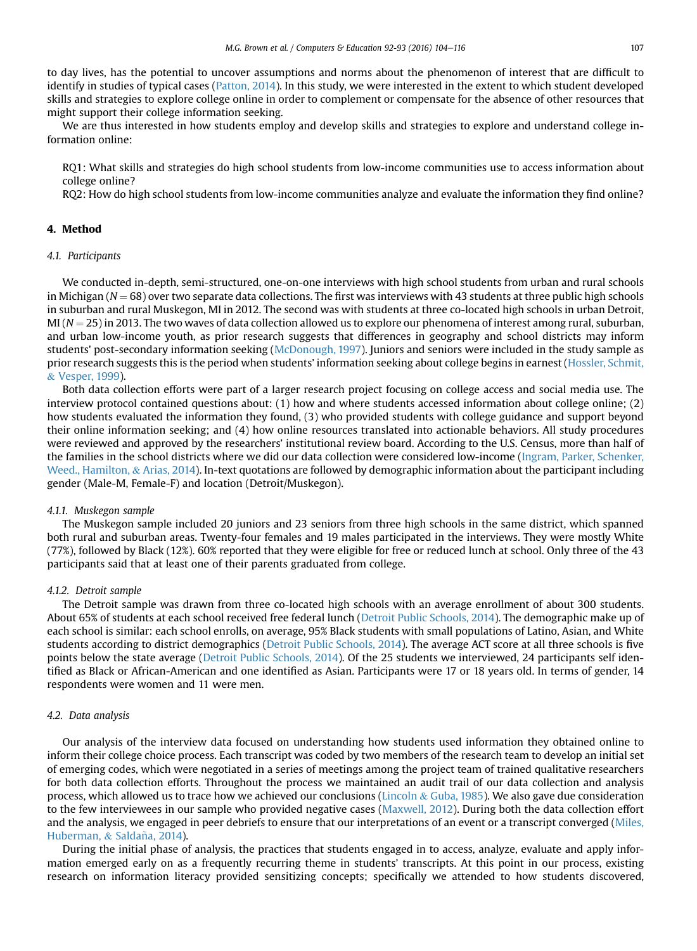to day lives, has the potential to uncover assumptions and norms about the phenomenon of interest that are difficult to identify in studies of typical cases ([Patton, 2014](#page-12-0)). In this study, we were interested in the extent to which student developed skills and strategies to explore college online in order to complement or compensate for the absence of other resources that might support their college information seeking.

We are thus interested in how students employ and develop skills and strategies to explore and understand college information online:

RQ1: What skills and strategies do high school students from low-income communities use to access information about college online?

RQ2: How do high school students from low-income communities analyze and evaluate the information they find online?

## 4. Method

## 4.1. Participants

We conducted in-depth, semi-structured, one-on-one interviews with high school students from urban and rural schools in Michigan ( $N = 68$ ) over two separate data collections. The first was interviews with 43 students at three public high schools in suburban and rural Muskegon, MI in 2012. The second was with students at three co-located high schools in urban Detroit,  $M<sub>1</sub>(N = 25)$  in 2013. The two waves of data collection allowed us to explore our phenomena of interest among rural, suburban, and urban low-income youth, as prior research suggests that differences in geography and school districts may inform students' post-secondary information seeking [\(McDonough, 1997](#page-12-0)). Juniors and seniors were included in the study sample as prior research suggests this is the period when students' information seeking about college begins in earnest ([Hossler, Schmit,](#page-11-0) & [Vesper, 1999](#page-11-0)).

Both data collection efforts were part of a larger research project focusing on college access and social media use. The interview protocol contained questions about: (1) how and where students accessed information about college online; (2) how students evaluated the information they found, (3) who provided students with college guidance and support beyond their online information seeking; and (4) how online resources translated into actionable behaviors. All study procedures were reviewed and approved by the researchers' institutional review board. According to the U.S. Census, more than half of the families in the school districts where we did our data collection were considered low-income ([Ingram, Parker, Schenker,](#page-11-0) [Weed., Hamilton,](#page-11-0) & [Arias, 2014\)](#page-11-0). In-text quotations are followed by demographic information about the participant including gender (Male-M, Female-F) and location (Detroit/Muskegon).

#### 4.1.1. Muskegon sample

The Muskegon sample included 20 juniors and 23 seniors from three high schools in the same district, which spanned both rural and suburban areas. Twenty-four females and 19 males participated in the interviews. They were mostly White (77%), followed by Black (12%). 60% reported that they were eligible for free or reduced lunch at school. Only three of the 43 participants said that at least one of their parents graduated from college.

#### 4.1.2. Detroit sample

The Detroit sample was drawn from three co-located high schools with an average enrollment of about 300 students. About 65% of students at each school received free federal lunch [\(Detroit Public Schools, 2014](#page-11-0)). The demographic make up of each school is similar: each school enrolls, on average, 95% Black students with small populations of Latino, Asian, and White students according to district demographics [\(Detroit Public Schools, 2014\)](#page-11-0). The average ACT score at all three schools is five points below the state average ([Detroit Public Schools, 2014](#page-11-0)). Of the 25 students we interviewed, 24 participants self identified as Black or African-American and one identified as Asian. Participants were 17 or 18 years old. In terms of gender, 14 respondents were women and 11 were men.

#### 4.2. Data analysis

Our analysis of the interview data focused on understanding how students used information they obtained online to inform their college choice process. Each transcript was coded by two members of the research team to develop an initial set of emerging codes, which were negotiated in a series of meetings among the project team of trained qualitative researchers for both data collection efforts. Throughout the process we maintained an audit trail of our data collection and analysis process, which allowed us to trace how we achieved our conclusions ([Lincoln](#page-12-0) & [Guba, 1985\)](#page-12-0). We also gave due consideration to the few interviewees in our sample who provided negative cases ([Maxwell, 2012\)](#page-12-0). During both the data collection effort and the analysis, we engaged in peer debriefs to ensure that our interpretations of an event or a transcript converged ([Miles,](#page-12-0) [Huberman,](#page-12-0) & Saldaña, 2014).

During the initial phase of analysis, the practices that students engaged in to access, analyze, evaluate and apply information emerged early on as a frequently recurring theme in students' transcripts. At this point in our process, existing research on information literacy provided sensitizing concepts; specifically we attended to how students discovered,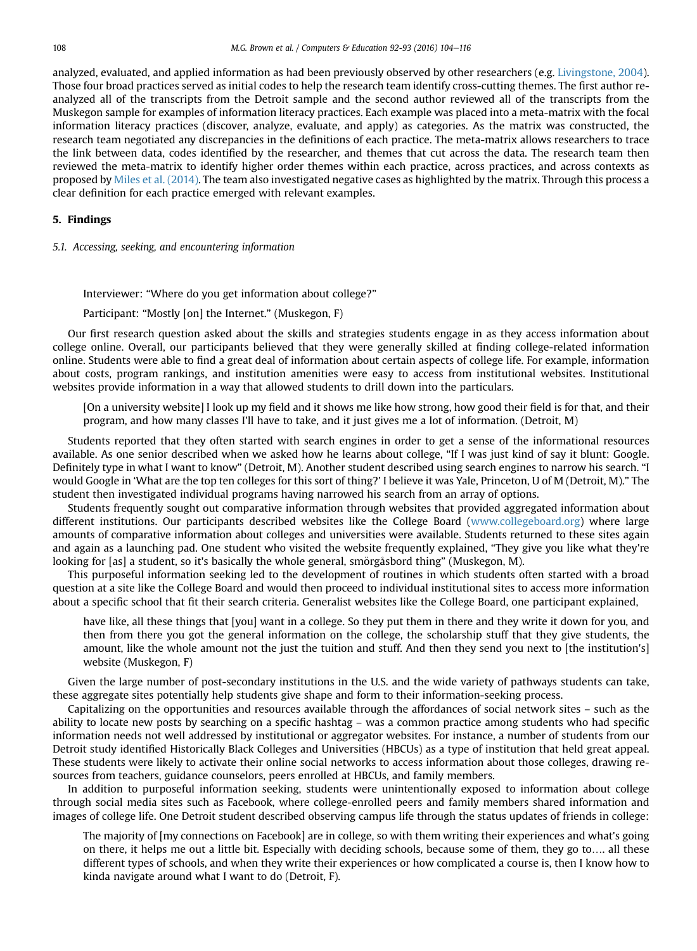analyzed, evaluated, and applied information as had been previously observed by other researchers (e.g. [Livingstone, 2004](#page-12-0)). Those four broad practices served as initial codes to help the research team identify cross-cutting themes. The first author reanalyzed all of the transcripts from the Detroit sample and the second author reviewed all of the transcripts from the Muskegon sample for examples of information literacy practices. Each example was placed into a meta-matrix with the focal information literacy practices (discover, analyze, evaluate, and apply) as categories. As the matrix was constructed, the research team negotiated any discrepancies in the definitions of each practice. The meta-matrix allows researchers to trace the link between data, codes identified by the researcher, and themes that cut across the data. The research team then reviewed the meta-matrix to identify higher order themes within each practice, across practices, and across contexts as proposed by [Miles et al. \(2014\).](#page-12-0) The team also investigated negative cases as highlighted by the matrix. Through this process a clear definition for each practice emerged with relevant examples.

## 5. Findings

5.1. Accessing, seeking, and encountering information

Interviewer: "Where do you get information about college?"

Participant: "Mostly [on] the Internet." (Muskegon, F)

Our first research question asked about the skills and strategies students engage in as they access information about college online. Overall, our participants believed that they were generally skilled at finding college-related information online. Students were able to find a great deal of information about certain aspects of college life. For example, information about costs, program rankings, and institution amenities were easy to access from institutional websites. Institutional websites provide information in a way that allowed students to drill down into the particulars.

[On a university website] I look up my field and it shows me like how strong, how good their field is for that, and their program, and how many classes I'll have to take, and it just gives me a lot of information. (Detroit, M)

Students reported that they often started with search engines in order to get a sense of the informational resources available. As one senior described when we asked how he learns about college, "If I was just kind of say it blunt: Google. Definitely type in what I want to know" (Detroit, M). Another student described using search engines to narrow his search. "I would Google in 'What are the top ten colleges for this sort of thing?' I believe it was Yale, Princeton, U of M (Detroit, M)." The student then investigated individual programs having narrowed his search from an array of options.

Students frequently sought out comparative information through websites that provided aggregated information about different institutions. Our participants described websites like the College Board ([www.collegeboard.org](http://www.collegeboard.org)) where large amounts of comparative information about colleges and universities were available. Students returned to these sites again and again as a launching pad. One student who visited the website frequently explained, "They give you like what they're looking for [as] a student, so it's basically the whole general, smörgåsbord thing" (Muskegon, M).

This purposeful information seeking led to the development of routines in which students often started with a broad question at a site like the College Board and would then proceed to individual institutional sites to access more information about a specific school that fit their search criteria. Generalist websites like the College Board, one participant explained,

have like, all these things that [you] want in a college. So they put them in there and they write it down for you, and then from there you got the general information on the college, the scholarship stuff that they give students, the amount, like the whole amount not the just the tuition and stuff. And then they send you next to [the institution's] website (Muskegon, F)

Given the large number of post-secondary institutions in the U.S. and the wide variety of pathways students can take, these aggregate sites potentially help students give shape and form to their information-seeking process.

Capitalizing on the opportunities and resources available through the affordances of social network sites – such as the ability to locate new posts by searching on a specific hashtag – was a common practice among students who had specific information needs not well addressed by institutional or aggregator websites. For instance, a number of students from our Detroit study identified Historically Black Colleges and Universities (HBCUs) as a type of institution that held great appeal. These students were likely to activate their online social networks to access information about those colleges, drawing resources from teachers, guidance counselors, peers enrolled at HBCUs, and family members.

In addition to purposeful information seeking, students were unintentionally exposed to information about college through social media sites such as Facebook, where college-enrolled peers and family members shared information and images of college life. One Detroit student described observing campus life through the status updates of friends in college:

The majority of [my connections on Facebook] are in college, so with them writing their experiences and what's going on there, it helps me out a little bit. Especially with deciding schools, because some of them, they go to…. all these different types of schools, and when they write their experiences or how complicated a course is, then I know how to kinda navigate around what I want to do (Detroit, F).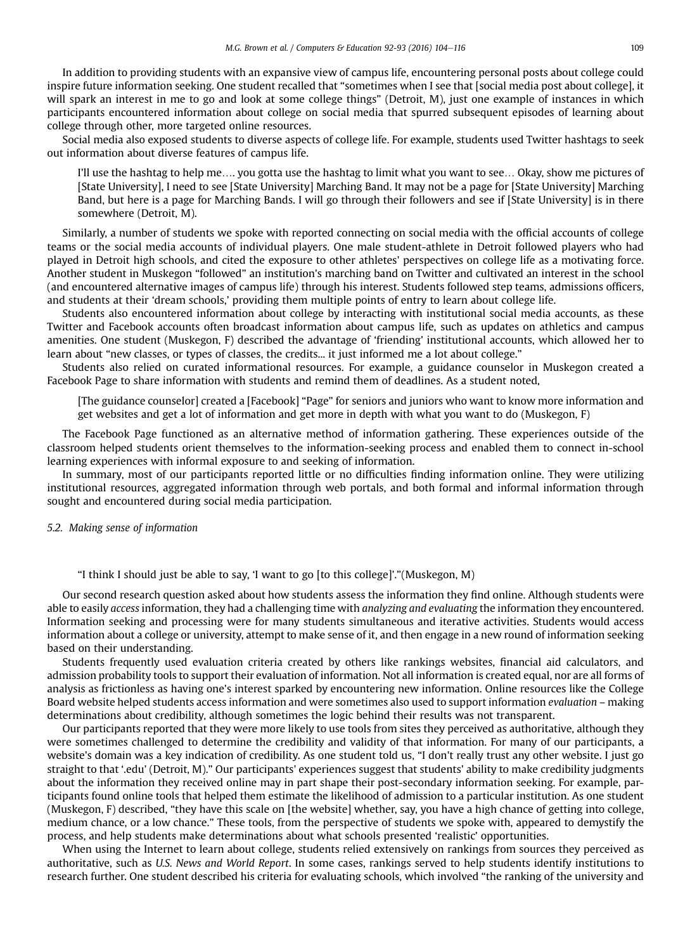In addition to providing students with an expansive view of campus life, encountering personal posts about college could inspire future information seeking. One student recalled that "sometimes when I see that [social media post about college], it will spark an interest in me to go and look at some college things" (Detroit, M), just one example of instances in which participants encountered information about college on social media that spurred subsequent episodes of learning about college through other, more targeted online resources.

Social media also exposed students to diverse aspects of college life. For example, students used Twitter hashtags to seek out information about diverse features of campus life.

I'll use the hashtag to help me…. you gotta use the hashtag to limit what you want to see… Okay, show me pictures of [State University], I need to see [State University] Marching Band. It may not be a page for [State University] Marching Band, but here is a page for Marching Bands. I will go through their followers and see if [State University] is in there somewhere (Detroit, M).

Similarly, a number of students we spoke with reported connecting on social media with the official accounts of college teams or the social media accounts of individual players. One male student-athlete in Detroit followed players who had played in Detroit high schools, and cited the exposure to other athletes' perspectives on college life as a motivating force. Another student in Muskegon "followed" an institution's marching band on Twitter and cultivated an interest in the school (and encountered alternative images of campus life) through his interest. Students followed step teams, admissions officers, and students at their 'dream schools,' providing them multiple points of entry to learn about college life.

Students also encountered information about college by interacting with institutional social media accounts, as these Twitter and Facebook accounts often broadcast information about campus life, such as updates on athletics and campus amenities. One student (Muskegon, F) described the advantage of 'friending' institutional accounts, which allowed her to learn about "new classes, or types of classes, the credits... it just informed me a lot about college."

Students also relied on curated informational resources. For example, a guidance counselor in Muskegon created a Facebook Page to share information with students and remind them of deadlines. As a student noted,

[The guidance counselor] created a [Facebook] "Page" for seniors and juniors who want to know more information and get websites and get a lot of information and get more in depth with what you want to do (Muskegon, F)

The Facebook Page functioned as an alternative method of information gathering. These experiences outside of the classroom helped students orient themselves to the information-seeking process and enabled them to connect in-school learning experiences with informal exposure to and seeking of information.

In summary, most of our participants reported little or no difficulties finding information online. They were utilizing institutional resources, aggregated information through web portals, and both formal and informal information through sought and encountered during social media participation.

#### 5.2. Making sense of information

"I think I should just be able to say, 'I want to go [to this college]'."(Muskegon, M)

Our second research question asked about how students assess the information they find online. Although students were able to easily access information, they had a challenging time with analyzing and evaluating the information they encountered. Information seeking and processing were for many students simultaneous and iterative activities. Students would access information about a college or university, attempt to make sense of it, and then engage in a new round of information seeking based on their understanding.

Students frequently used evaluation criteria created by others like rankings websites, financial aid calculators, and admission probability tools to support their evaluation of information. Not all information is created equal, nor are all forms of analysis as frictionless as having one's interest sparked by encountering new information. Online resources like the College Board website helped students access information and were sometimes also used to support information evaluation – making determinations about credibility, although sometimes the logic behind their results was not transparent.

Our participants reported that they were more likely to use tools from sites they perceived as authoritative, although they were sometimes challenged to determine the credibility and validity of that information. For many of our participants, a website's domain was a key indication of credibility. As one student told us, "I don't really trust any other website. I just go straight to that '.edu' (Detroit, M)." Our participants' experiences suggest that students' ability to make credibility judgments about the information they received online may in part shape their post-secondary information seeking. For example, participants found online tools that helped them estimate the likelihood of admission to a particular institution. As one student (Muskegon, F) described, "they have this scale on [the website] whether, say, you have a high chance of getting into college, medium chance, or a low chance." These tools, from the perspective of students we spoke with, appeared to demystify the process, and help students make determinations about what schools presented 'realistic' opportunities.

When using the Internet to learn about college, students relied extensively on rankings from sources they perceived as authoritative, such as U.S. News and World Report. In some cases, rankings served to help students identify institutions to research further. One student described his criteria for evaluating schools, which involved "the ranking of the university and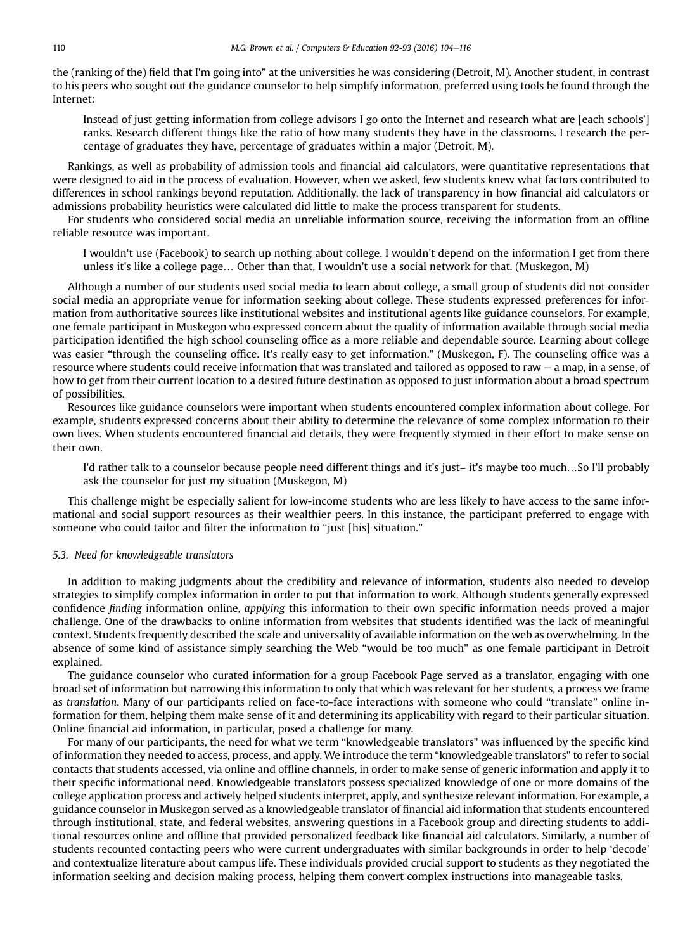the (ranking of the) field that I'm going into" at the universities he was considering (Detroit, M). Another student, in contrast to his peers who sought out the guidance counselor to help simplify information, preferred using tools he found through the Internet:

Instead of just getting information from college advisors I go onto the Internet and research what are [each schools'] ranks. Research different things like the ratio of how many students they have in the classrooms. I research the percentage of graduates they have, percentage of graduates within a major (Detroit, M).

Rankings, as well as probability of admission tools and financial aid calculators, were quantitative representations that were designed to aid in the process of evaluation. However, when we asked, few students knew what factors contributed to differences in school rankings beyond reputation. Additionally, the lack of transparency in how financial aid calculators or admissions probability heuristics were calculated did little to make the process transparent for students.

For students who considered social media an unreliable information source, receiving the information from an offline reliable resource was important.

I wouldn't use (Facebook) to search up nothing about college. I wouldn't depend on the information I get from there unless it's like a college page… Other than that, I wouldn't use a social network for that. (Muskegon, M)

Although a number of our students used social media to learn about college, a small group of students did not consider social media an appropriate venue for information seeking about college. These students expressed preferences for information from authoritative sources like institutional websites and institutional agents like guidance counselors. For example, one female participant in Muskegon who expressed concern about the quality of information available through social media participation identified the high school counseling office as a more reliable and dependable source. Learning about college was easier "through the counseling office. It's really easy to get information." (Muskegon, F). The counseling office was a resource where students could receive information that was translated and tailored as opposed to raw  $-$  a map, in a sense, of how to get from their current location to a desired future destination as opposed to just information about a broad spectrum of possibilities.

Resources like guidance counselors were important when students encountered complex information about college. For example, students expressed concerns about their ability to determine the relevance of some complex information to their own lives. When students encountered financial aid details, they were frequently stymied in their effort to make sense on their own.

I'd rather talk to a counselor because people need different things and it's just– it's maybe too much…So I'll probably ask the counselor for just my situation (Muskegon, M)

This challenge might be especially salient for low-income students who are less likely to have access to the same informational and social support resources as their wealthier peers. In this instance, the participant preferred to engage with someone who could tailor and filter the information to "just [his] situation."

## 5.3. Need for knowledgeable translators

In addition to making judgments about the credibility and relevance of information, students also needed to develop strategies to simplify complex information in order to put that information to work. Although students generally expressed confidence finding information online, applying this information to their own specific information needs proved a major challenge. One of the drawbacks to online information from websites that students identified was the lack of meaningful context. Students frequently described the scale and universality of available information on the web as overwhelming. In the absence of some kind of assistance simply searching the Web "would be too much" as one female participant in Detroit explained.

The guidance counselor who curated information for a group Facebook Page served as a translator, engaging with one broad set of information but narrowing this information to only that which was relevant for her students, a process we frame as translation. Many of our participants relied on face-to-face interactions with someone who could "translate" online information for them, helping them make sense of it and determining its applicability with regard to their particular situation. Online financial aid information, in particular, posed a challenge for many.

For many of our participants, the need for what we term "knowledgeable translators" was influenced by the specific kind of information they needed to access, process, and apply. We introduce the term "knowledgeable translators" to refer to social contacts that students accessed, via online and offline channels, in order to make sense of generic information and apply it to their specific informational need. Knowledgeable translators possess specialized knowledge of one or more domains of the college application process and actively helped students interpret, apply, and synthesize relevant information. For example, a guidance counselor in Muskegon served as a knowledgeable translator of financial aid information that students encountered through institutional, state, and federal websites, answering questions in a Facebook group and directing students to additional resources online and offline that provided personalized feedback like financial aid calculators. Similarly, a number of students recounted contacting peers who were current undergraduates with similar backgrounds in order to help 'decode' and contextualize literature about campus life. These individuals provided crucial support to students as they negotiated the information seeking and decision making process, helping them convert complex instructions into manageable tasks.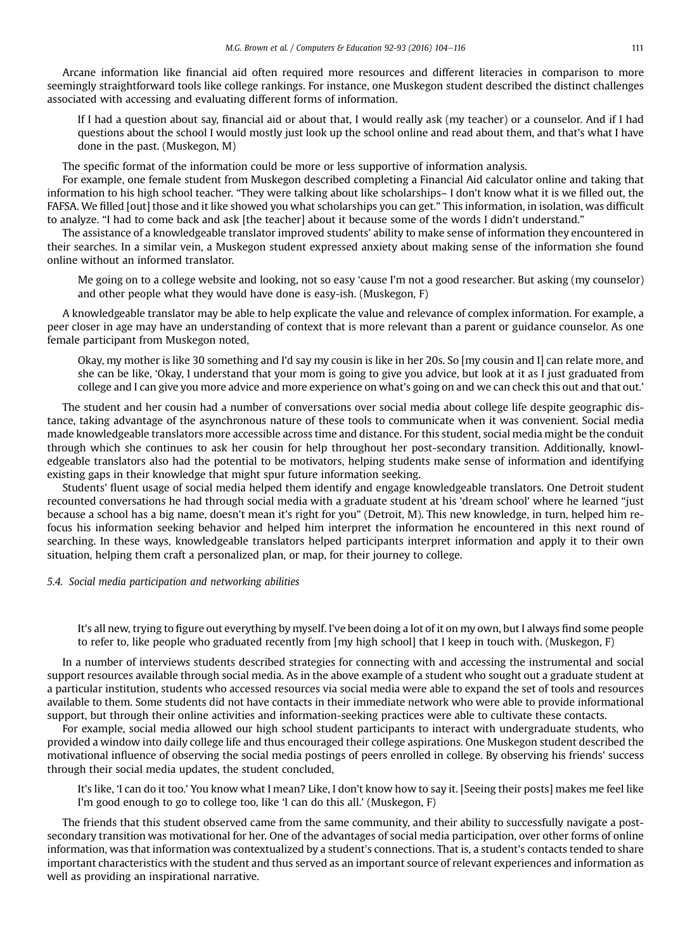Arcane information like financial aid often required more resources and different literacies in comparison to more seemingly straightforward tools like college rankings. For instance, one Muskegon student described the distinct challenges associated with accessing and evaluating different forms of information.

If I had a question about say, financial aid or about that, I would really ask (my teacher) or a counselor. And if I had questions about the school I would mostly just look up the school online and read about them, and that's what I have done in the past. (Muskegon, M)

The specific format of the information could be more or less supportive of information analysis.

For example, one female student from Muskegon described completing a Financial Aid calculator online and taking that information to his high school teacher. "They were talking about like scholarships– I don't know what it is we filled out, the FAFSA. We filled [out] those and it like showed you what scholarships you can get." This information, in isolation, was difficult to analyze. "I had to come back and ask [the teacher] about it because some of the words I didn't understand."

The assistance of a knowledgeable translator improved students' ability to make sense of information they encountered in their searches. In a similar vein, a Muskegon student expressed anxiety about making sense of the information she found online without an informed translator.

Me going on to a college website and looking, not so easy 'cause I'm not a good researcher. But asking (my counselor) and other people what they would have done is easy-ish. (Muskegon, F)

A knowledgeable translator may be able to help explicate the value and relevance of complex information. For example, a peer closer in age may have an understanding of context that is more relevant than a parent or guidance counselor. As one female participant from Muskegon noted,

Okay, my mother is like 30 something and I'd say my cousin is like in her 20s. So [my cousin and I] can relate more, and she can be like, 'Okay, I understand that your mom is going to give you advice, but look at it as I just graduated from college and I can give you more advice and more experience on what's going on and we can check this out and that out.'

The student and her cousin had a number of conversations over social media about college life despite geographic distance, taking advantage of the asynchronous nature of these tools to communicate when it was convenient. Social media made knowledgeable translators more accessible across time and distance. For this student, social media might be the conduit through which she continues to ask her cousin for help throughout her post-secondary transition. Additionally, knowledgeable translators also had the potential to be motivators, helping students make sense of information and identifying existing gaps in their knowledge that might spur future information seeking.

Students' fluent usage of social media helped them identify and engage knowledgeable translators. One Detroit student recounted conversations he had through social media with a graduate student at his 'dream school' where he learned "just because a school has a big name, doesn't mean it's right for you" (Detroit, M). This new knowledge, in turn, helped him refocus his information seeking behavior and helped him interpret the information he encountered in this next round of searching. In these ways, knowledgeable translators helped participants interpret information and apply it to their own situation, helping them craft a personalized plan, or map, for their journey to college.

## 5.4. Social media participation and networking abilities

It's all new, trying to figure out everything by myself. I've been doing a lot of it on my own, but I always find some people to refer to, like people who graduated recently from [my high school] that I keep in touch with. (Muskegon, F)

In a number of interviews students described strategies for connecting with and accessing the instrumental and social support resources available through social media. As in the above example of a student who sought out a graduate student at a particular institution, students who accessed resources via social media were able to expand the set of tools and resources available to them. Some students did not have contacts in their immediate network who were able to provide informational support, but through their online activities and information-seeking practices were able to cultivate these contacts.

For example, social media allowed our high school student participants to interact with undergraduate students, who provided a window into daily college life and thus encouraged their college aspirations. One Muskegon student described the motivational influence of observing the social media postings of peers enrolled in college. By observing his friends' success through their social media updates, the student concluded,

It's like, 'I can do it too.' You know what I mean? Like, I don't know how to say it. [Seeing their posts] makes me feel like I'm good enough to go to college too, like 'I can do this all.' (Muskegon, F)

The friends that this student observed came from the same community, and their ability to successfully navigate a postsecondary transition was motivational for her. One of the advantages of social media participation, over other forms of online information, was that information was contextualized by a student's connections. That is, a student's contacts tended to share important characteristics with the student and thus served as an important source of relevant experiences and information as well as providing an inspirational narrative.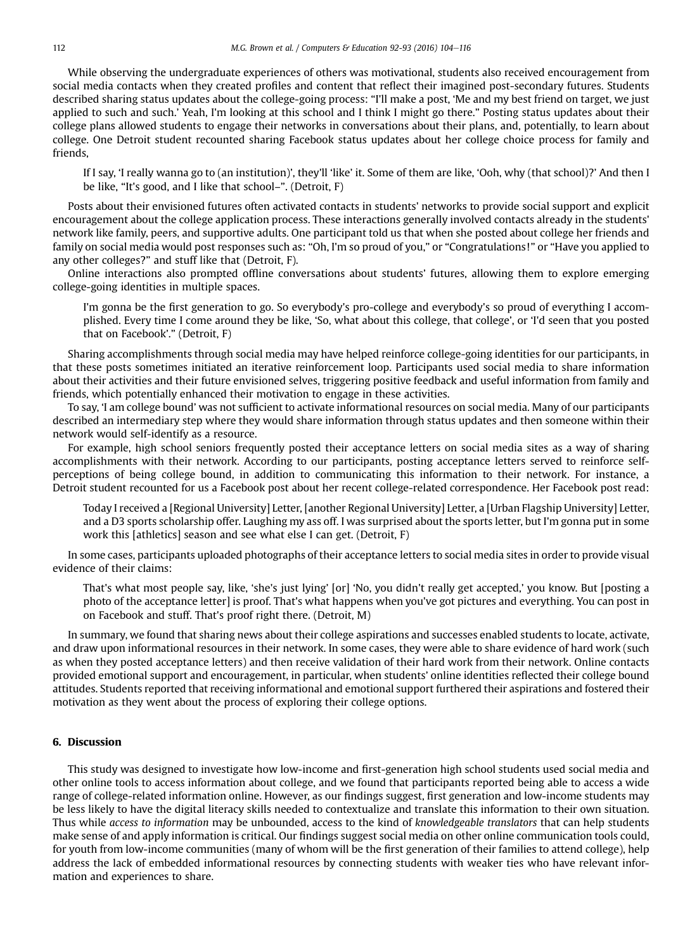While observing the undergraduate experiences of others was motivational, students also received encouragement from social media contacts when they created profiles and content that reflect their imagined post-secondary futures. Students described sharing status updates about the college-going process: "I'll make a post, 'Me and my best friend on target, we just applied to such and such.' Yeah, I'm looking at this school and I think I might go there." Posting status updates about their college plans allowed students to engage their networks in conversations about their plans, and, potentially, to learn about college. One Detroit student recounted sharing Facebook status updates about her college choice process for family and friends,

If I say, 'I really wanna go to (an institution)', they'll 'like' it. Some of them are like, 'Ooh, why (that school)?' And then I be like, "It's good, and I like that school–". (Detroit, F)

Posts about their envisioned futures often activated contacts in students' networks to provide social support and explicit encouragement about the college application process. These interactions generally involved contacts already in the students' network like family, peers, and supportive adults. One participant told us that when she posted about college her friends and family on social media would post responses such as: "Oh, I'm so proud of you," or "Congratulations!" or "Have you applied to any other colleges?" and stuff like that (Detroit, F).

Online interactions also prompted offline conversations about students' futures, allowing them to explore emerging college-going identities in multiple spaces.

I'm gonna be the first generation to go. So everybody's pro-college and everybody's so proud of everything I accomplished. Every time I come around they be like, 'So, what about this college, that college', or 'I'd seen that you posted that on Facebook'." (Detroit, F)

Sharing accomplishments through social media may have helped reinforce college-going identities for our participants, in that these posts sometimes initiated an iterative reinforcement loop. Participants used social media to share information about their activities and their future envisioned selves, triggering positive feedback and useful information from family and friends, which potentially enhanced their motivation to engage in these activities.

To say, 'I am college bound' was not sufficient to activate informational resources on social media. Many of our participants described an intermediary step where they would share information through status updates and then someone within their network would self-identify as a resource.

For example, high school seniors frequently posted their acceptance letters on social media sites as a way of sharing accomplishments with their network. According to our participants, posting acceptance letters served to reinforce selfperceptions of being college bound, in addition to communicating this information to their network. For instance, a Detroit student recounted for us a Facebook post about her recent college-related correspondence. Her Facebook post read:

Today I received a [Regional University] Letter, [another Regional University] Letter, a [Urban Flagship University] Letter, and a D3 sports scholarship offer. Laughing my ass off. I was surprised about the sports letter, but I'm gonna put in some work this [athletics] season and see what else I can get. (Detroit, F)

In some cases, participants uploaded photographs of their acceptance letters to social media sites in order to provide visual evidence of their claims:

That's what most people say, like, 'she's just lying' [or] 'No, you didn't really get accepted,' you know. But [posting a photo of the acceptance letter] is proof. That's what happens when you've got pictures and everything. You can post in on Facebook and stuff. That's proof right there. (Detroit, M)

In summary, we found that sharing news about their college aspirations and successes enabled students to locate, activate, and draw upon informational resources in their network. In some cases, they were able to share evidence of hard work (such as when they posted acceptance letters) and then receive validation of their hard work from their network. Online contacts provided emotional support and encouragement, in particular, when students' online identities reflected their college bound attitudes. Students reported that receiving informational and emotional support furthered their aspirations and fostered their motivation as they went about the process of exploring their college options.

## 6. Discussion

This study was designed to investigate how low-income and first-generation high school students used social media and other online tools to access information about college, and we found that participants reported being able to access a wide range of college-related information online. However, as our findings suggest, first generation and low-income students may be less likely to have the digital literacy skills needed to contextualize and translate this information to their own situation. Thus while access to information may be unbounded, access to the kind of knowledgeable translators that can help students make sense of and apply information is critical. Our findings suggest social media on other online communication tools could, for youth from low-income communities (many of whom will be the first generation of their families to attend college), help address the lack of embedded informational resources by connecting students with weaker ties who have relevant information and experiences to share.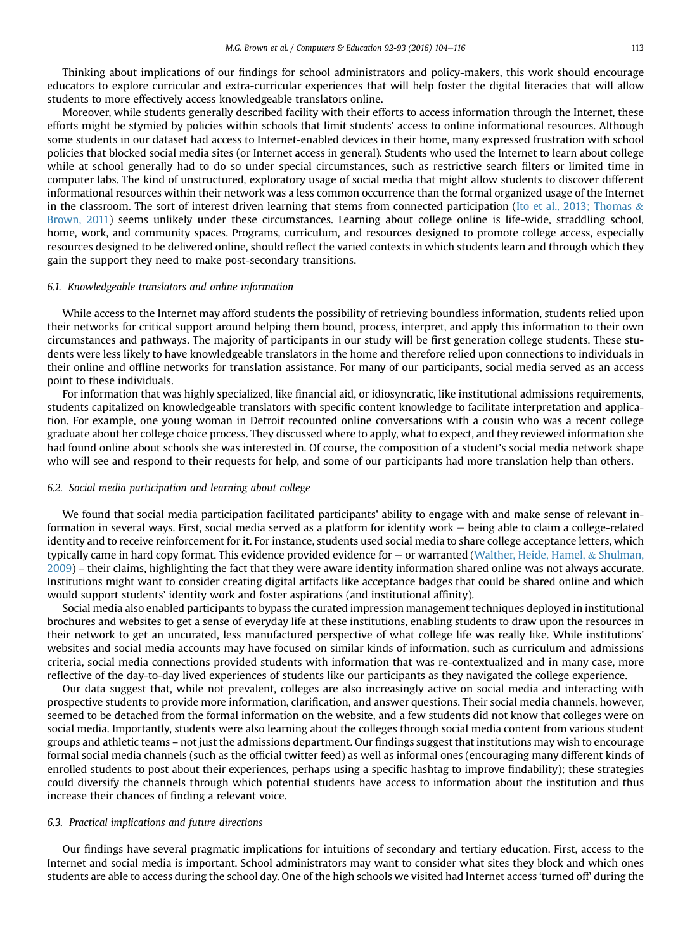Thinking about implications of our findings for school administrators and policy-makers, this work should encourage educators to explore curricular and extra-curricular experiences that will help foster the digital literacies that will allow students to more effectively access knowledgeable translators online.

Moreover, while students generally described facility with their efforts to access information through the Internet, these efforts might be stymied by policies within schools that limit students' access to online informational resources. Although some students in our dataset had access to Internet-enabled devices in their home, many expressed frustration with school policies that blocked social media sites (or Internet access in general). Students who used the Internet to learn about college while at school generally had to do so under special circumstances, such as restrictive search filters or limited time in computer labs. The kind of unstructured, exploratory usage of social media that might allow students to discover different informational resources within their network was a less common occurrence than the formal organized usage of the Internet in the classroom. The sort of interest driven learning that stems from connected participation ([Ito et al., 2013; Thomas](#page-11-0)  $\&$ [Brown, 2011](#page-11-0)) seems unlikely under these circumstances. Learning about college online is life-wide, straddling school, home, work, and community spaces. Programs, curriculum, and resources designed to promote college access, especially resources designed to be delivered online, should reflect the varied contexts in which students learn and through which they gain the support they need to make post-secondary transitions.

## 6.1. Knowledgeable translators and online information

While access to the Internet may afford students the possibility of retrieving boundless information, students relied upon their networks for critical support around helping them bound, process, interpret, and apply this information to their own circumstances and pathways. The majority of participants in our study will be first generation college students. These students were less likely to have knowledgeable translators in the home and therefore relied upon connections to individuals in their online and offline networks for translation assistance. For many of our participants, social media served as an access point to these individuals.

For information that was highly specialized, like financial aid, or idiosyncratic, like institutional admissions requirements, students capitalized on knowledgeable translators with specific content knowledge to facilitate interpretation and application. For example, one young woman in Detroit recounted online conversations with a cousin who was a recent college graduate about her college choice process. They discussed where to apply, what to expect, and they reviewed information she had found online about schools she was interested in. Of course, the composition of a student's social media network shape who will see and respond to their requests for help, and some of our participants had more translation help than others.

#### 6.2. Social media participation and learning about college

We found that social media participation facilitated participants' ability to engage with and make sense of relevant information in several ways. First, social media served as a platform for identity work  $-$  being able to claim a college-related identity and to receive reinforcement for it. For instance, students used social media to share college acceptance letters, which typically came in hard copy format. This evidence provided evidence for – or warranted ([Walther, Heide, Hamel,](#page-12-0) & [Shulman,](#page-12-0) [2009](#page-12-0)) – their claims, highlighting the fact that they were aware identity information shared online was not always accurate. Institutions might want to consider creating digital artifacts like acceptance badges that could be shared online and which would support students' identity work and foster aspirations (and institutional affinity).

Social media also enabled participants to bypass the curated impression management techniques deployed in institutional brochures and websites to get a sense of everyday life at these institutions, enabling students to draw upon the resources in their network to get an uncurated, less manufactured perspective of what college life was really like. While institutions' websites and social media accounts may have focused on similar kinds of information, such as curriculum and admissions criteria, social media connections provided students with information that was re-contextualized and in many case, more reflective of the day-to-day lived experiences of students like our participants as they navigated the college experience.

Our data suggest that, while not prevalent, colleges are also increasingly active on social media and interacting with prospective students to provide more information, clarification, and answer questions. Their social media channels, however, seemed to be detached from the formal information on the website, and a few students did not know that colleges were on social media. Importantly, students were also learning about the colleges through social media content from various student groups and athletic teams – not just the admissions department. Our findings suggest that institutions may wish to encourage formal social media channels (such as the official twitter feed) as well as informal ones (encouraging many different kinds of enrolled students to post about their experiences, perhaps using a specific hashtag to improve findability); these strategies could diversify the channels through which potential students have access to information about the institution and thus increase their chances of finding a relevant voice.

#### 6.3. Practical implications and future directions

Our findings have several pragmatic implications for intuitions of secondary and tertiary education. First, access to the Internet and social media is important. School administrators may want to consider what sites they block and which ones students are able to access during the school day. One of the high schools we visited had Internet access 'turned off' during the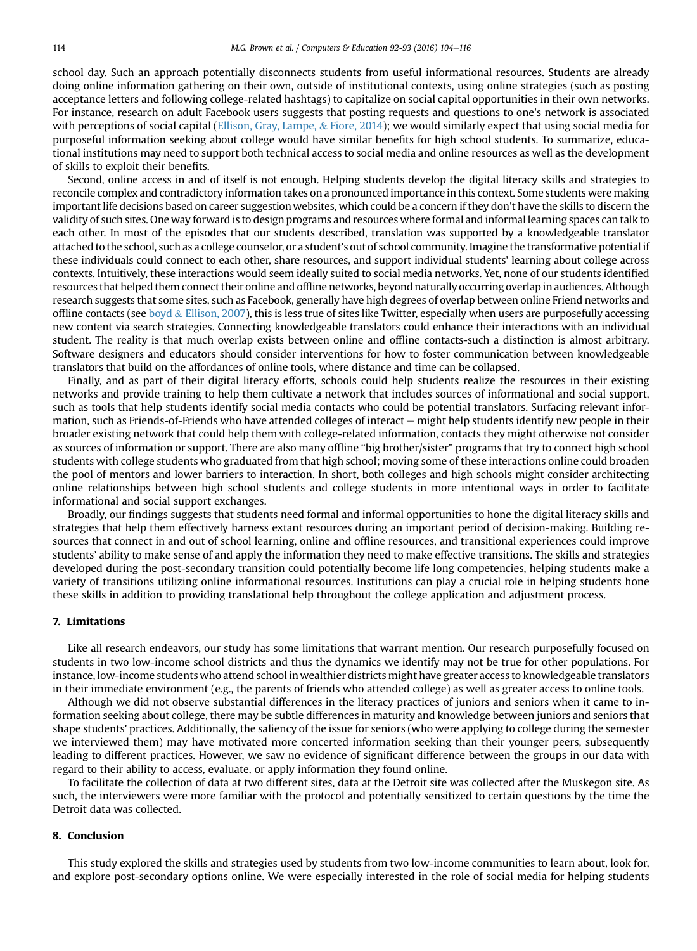school day. Such an approach potentially disconnects students from useful informational resources. Students are already doing online information gathering on their own, outside of institutional contexts, using online strategies (such as posting acceptance letters and following college-related hashtags) to capitalize on social capital opportunities in their own networks. For instance, research on adult Facebook users suggests that posting requests and questions to one's network is associated with perceptions of social capital ([Ellison, Gray, Lampe,](#page-11-0) & [Fiore, 2014](#page-11-0)); we would similarly expect that using social media for purposeful information seeking about college would have similar benefits for high school students. To summarize, educational institutions may need to support both technical access to social media and online resources as well as the development of skills to exploit their benefits.

Second, online access in and of itself is not enough. Helping students develop the digital literacy skills and strategies to reconcile complex and contradictory information takes on a pronounced importance in this context. Some students were making important life decisions based on career suggestion websites, which could be a concern if they don't have the skills to discern the validity of such sites. One way forward is to design programs and resources where formal and informal learning spaces can talk to each other. In most of the episodes that our students described, translation was supported by a knowledgeable translator attached to the school, such as a college counselor, or a student's out of school community. Imagine the transformative potential if these individuals could connect to each other, share resources, and support individual students' learning about college across contexts. Intuitively, these interactions would seem ideally suited to social media networks. Yet, none of our students identified resources that helped them connect their online and offline networks, beyond naturally occurring overlap in audiences. Although research suggests that some sites, such as Facebook, generally have high degrees of overlap between online Friend networks and offline contacts (see [boyd](#page-11-0) & [Ellison, 2007](#page-11-0)), this is less true of sites like Twitter, especially when users are purposefully accessing new content via search strategies. Connecting knowledgeable translators could enhance their interactions with an individual student. The reality is that much overlap exists between online and offline contacts-such a distinction is almost arbitrary. Software designers and educators should consider interventions for how to foster communication between knowledgeable translators that build on the affordances of online tools, where distance and time can be collapsed.

Finally, and as part of their digital literacy efforts, schools could help students realize the resources in their existing networks and provide training to help them cultivate a network that includes sources of informational and social support, such as tools that help students identify social media contacts who could be potential translators. Surfacing relevant information, such as Friends-of-Friends who have attended colleges of interact – might help students identify new people in their broader existing network that could help them with college-related information, contacts they might otherwise not consider as sources of information or support. There are also many offline "big brother/sister" programs that try to connect high school students with college students who graduated from that high school; moving some of these interactions online could broaden the pool of mentors and lower barriers to interaction. In short, both colleges and high schools might consider architecting online relationships between high school students and college students in more intentional ways in order to facilitate informational and social support exchanges.

Broadly, our findings suggests that students need formal and informal opportunities to hone the digital literacy skills and strategies that help them effectively harness extant resources during an important period of decision-making. Building resources that connect in and out of school learning, online and offline resources, and transitional experiences could improve students' ability to make sense of and apply the information they need to make effective transitions. The skills and strategies developed during the post-secondary transition could potentially become life long competencies, helping students make a variety of transitions utilizing online informational resources. Institutions can play a crucial role in helping students hone these skills in addition to providing translational help throughout the college application and adjustment process.

## 7. Limitations

Like all research endeavors, our study has some limitations that warrant mention. Our research purposefully focused on students in two low-income school districts and thus the dynamics we identify may not be true for other populations. For instance, low-income students who attend school inwealthier districts might have greater access to knowledgeable translators in their immediate environment (e.g., the parents of friends who attended college) as well as greater access to online tools.

Although we did not observe substantial differences in the literacy practices of juniors and seniors when it came to information seeking about college, there may be subtle differences in maturity and knowledge between juniors and seniors that shape students' practices. Additionally, the saliency of the issue for seniors (who were applying to college during the semester we interviewed them) may have motivated more concerted information seeking than their younger peers, subsequently leading to different practices. However, we saw no evidence of significant difference between the groups in our data with regard to their ability to access, evaluate, or apply information they found online.

To facilitate the collection of data at two different sites, data at the Detroit site was collected after the Muskegon site. As such, the interviewers were more familiar with the protocol and potentially sensitized to certain questions by the time the Detroit data was collected.

## 8. Conclusion

This study explored the skills and strategies used by students from two low-income communities to learn about, look for, and explore post-secondary options online. We were especially interested in the role of social media for helping students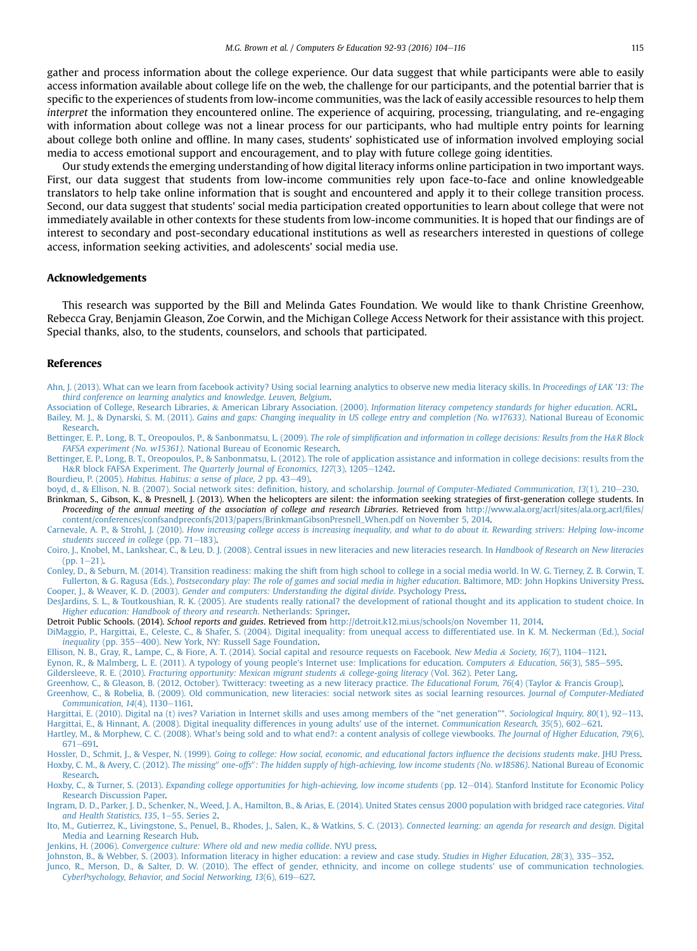<span id="page-11-0"></span>gather and process information about the college experience. Our data suggest that while participants were able to easily access information available about college life on the web, the challenge for our participants, and the potential barrier that is specific to the experiences of students from low-income communities, was the lack of easily accessible resources to help them interpret the information they encountered online. The experience of acquiring, processing, triangulating, and re-engaging with information about college was not a linear process for our participants, who had multiple entry points for learning about college both online and offline. In many cases, students' sophisticated use of information involved employing social media to access emotional support and encouragement, and to play with future college going identities.

Our study extends the emerging understanding of how digital literacy informs online participation in two important ways. First, our data suggest that students from low-income communities rely upon face-to-face and online knowledgeable translators to help take online information that is sought and encountered and apply it to their college transition process. Second, our data suggest that students' social media participation created opportunities to learn about college that were not immediately available in other contexts for these students from low-income communities. It is hoped that our findings are of interest to secondary and post-secondary educational institutions as well as researchers interested in questions of college access, information seeking activities, and adolescents' social media use.

## Acknowledgements

This research was supported by the Bill and Melinda Gates Foundation. We would like to thank Christine Greenhow, Rebecca Gray, Benjamin Gleason, Zoe Corwin, and the Michigan College Access Network for their assistance with this project. Special thanks, also, to the students, counselors, and schools that participated.

#### References

- [Ahn, J. \(2013\). What can we learn from facebook activity? Using social learning analytics to observe new media literacy skills. In](http://refhub.elsevier.com/S0360-1315(15)30050-6/sref2) Proceedings of LAK '13: The [third conference on learning analytics and knowledge. Leuven, Belgium](http://refhub.elsevier.com/S0360-1315(15)30050-6/sref2).
- [Association of College, Research Libraries,](http://refhub.elsevier.com/S0360-1315(15)30050-6/sref53) & American Library Association. (2000). [Information literacy competency standards for higher education](http://refhub.elsevier.com/S0360-1315(15)30050-6/sref53). ACRL.
- Bailey, M. J., & Dynarski, S. M. (2011). [Gains and gaps: Changing inequality in US college entry and completion \(No. w17633\)](http://refhub.elsevier.com/S0360-1315(15)30050-6/sref3). National Bureau of Economic [Research.](http://refhub.elsevier.com/S0360-1315(15)30050-6/sref3)

[Bettinger, E. P., Long, B. T., Oreopoulos, P., & Sanbonmatsu, L. \(2009\).](http://refhub.elsevier.com/S0360-1315(15)30050-6/sref4) The role of simplification and information in college decisions: Results from the H&[R Block](http://refhub.elsevier.com/S0360-1315(15)30050-6/sref4) FAFSA experiment (No. w15361)[. National Bureau of Economic Research](http://refhub.elsevier.com/S0360-1315(15)30050-6/sref4).

[Bettinger, E. P., Long, B. T., Oreopoulos, P., & Sanbonmatsu, L. \(2012\). The role of application assistance and information in college decisions: results from the](http://refhub.elsevier.com/S0360-1315(15)30050-6/sref5) [H](http://refhub.elsevier.com/S0360-1315(15)30050-6/sref5)&R block FAFSA Experiment. [The Quarterly Journal of Economics, 127](http://refhub.elsevier.com/S0360-1315(15)30050-6/sref5)(3), 1205-[1242.](http://refhub.elsevier.com/S0360-1315(15)30050-6/sref5)

- Bourdieu, P. (2005). [Habitus. Habitus: a sense of place, 2](http://refhub.elsevier.com/S0360-1315(15)30050-6/sref6) pp.  $(43-49)$ .
- [boyd, d., & Ellison, N. B. \(2007\). Social network sites: de](http://refhub.elsevier.com/S0360-1315(15)30050-6/sref1)finition, history, and scholarship. Journal of Computer-Mediated Communication, 13(1), 210-[230](http://refhub.elsevier.com/S0360-1315(15)30050-6/sref1).

Brinkman, S., Gibson, K., & Presnell, J. (2013). When the helicopters are silent: the information seeking strategies of first-generation college students. In Proceeding of the annual meeting of the association of college and research Libraries. Retrieved from [http://www.ala.org/acrl/sites/ala.org.acrl/](http://www.ala.org/acrl/sites/ala.org.acrl/files/content/conferences/confsandpreconfs/2013/papers/BrinkmanGibsonPresnell_When.pdf%20on%20November%205,%202014)files/ [content/conferences/confsandpreconfs/2013/papers/BrinkmanGibsonPresnell\\_When.pdf on November 5, 2014.](http://www.ala.org/acrl/sites/ala.org.acrl/files/content/conferences/confsandpreconfs/2013/papers/BrinkmanGibsonPresnell_When.pdf%20on%20November%205,%202014)

- Carnevale, A. P., & Strohl, J. (2010). [How increasing college access is increasing inequality, and what to do about it. Rewarding strivers: Helping low-income](http://refhub.elsevier.com/S0360-1315(15)30050-6/sref8) [students succeed in college](http://refhub.elsevier.com/S0360-1315(15)30050-6/sref8) (pp. 71-[183\).](http://refhub.elsevier.com/S0360-1315(15)30050-6/sref8)
- [Coiro, J., Knobel, M., Lankshear, C., & Leu, D. J. \(2008\). Central issues in new literacies and new literacies research. In](http://refhub.elsevier.com/S0360-1315(15)30050-6/sref9) Handbook of Research on New literacies  $(pp. 1-21)$  $(pp. 1-21)$ .
- [Conley, D., & Seburn, M. \(2014\). Transition readiness: making the shift from high school to college in a social media world. In W. G. Tierney, Z. B. Corwin, T.](http://refhub.elsevier.com/S0360-1315(15)30050-6/sref10) Fullerton, & G. Ragusa (Eds.), [Postsecondary play: The role of games and social media in higher education](http://refhub.elsevier.com/S0360-1315(15)30050-6/sref10). Baltimore, MD: John Hopkins University Press. Cooper, J., & Weaver, K. D. (2003). [Gender and computers: Understanding the digital divide](http://refhub.elsevier.com/S0360-1315(15)30050-6/sref11). Psychology Press.
- [DesJardins, S. L., & Toutkoushian, R. K. \(2005\). Are students really rational? the development of rational thought and its application to student choice. In](http://refhub.elsevier.com/S0360-1315(15)30050-6/sref12) [Higher education: Handbook of theory and research](http://refhub.elsevier.com/S0360-1315(15)30050-6/sref12). Netherlands: Springer.
- Detroit Public Schools. (2014). School reports and guides. Retrieved from [http://detroit.k12.mi.us/schools/on November 11, 2014](http://detroit.k12.mi.us/schools/on%20November%2011,%202014).
- [DiMaggio, P., Hargittai, E., Celeste, C., & Shafer, S. \(2004\). Digital inequality: from unequal access to differentiated use. In K. M. Neckerman \(Ed.\),](http://refhub.elsevier.com/S0360-1315(15)30050-6/sref14) Social [inequality](http://refhub.elsevier.com/S0360-1315(15)30050-6/sref14) (pp. 355-[400\). New York, NY: Russell Sage Foundation](http://refhub.elsevier.com/S0360-1315(15)30050-6/sref14).
- [Ellison, N. B., Gray, R., Lampe, C., & Fiore, A. T. \(2014\). Social capital and resource requests on Facebook.](http://refhub.elsevier.com/S0360-1315(15)30050-6/sref15) New Media & [Society, 16](http://refhub.elsevier.com/S0360-1315(15)30050-6/sref15)(7), 1104-[1121.](http://refhub.elsevier.com/S0360-1315(15)30050-6/sref15)
- [Eynon, R., & Malmberg, L. E. \(2011\). A typology of young people's Internet use: Implications for education.](http://refhub.elsevier.com/S0360-1315(15)30050-6/sref16) Computers & [Education, 56](http://refhub.elsevier.com/S0360-1315(15)30050-6/sref16)(3), 585–[595.](http://refhub.elsevier.com/S0360-1315(15)30050-6/sref16)
- Gildersleeve, R. E. (2010). [Fracturing opportunity: Mexican migrant students](http://refhub.elsevier.com/S0360-1315(15)30050-6/sref17) & college-going literacy [\(Vol. 362\). Peter Lang.](http://refhub.elsevier.com/S0360-1315(15)30050-6/sref17)
- [Greenhow, C., & Gleason, B. \(2012, October\). Twitteracy: tweeting as a new literacy practice.](http://refhub.elsevier.com/S0360-1315(15)30050-6/sref18) The Educational Forum, 76(4) (Taylor & [Francis Group\).](http://refhub.elsevier.com/S0360-1315(15)30050-6/sref18)
- [Greenhow, C., & Robelia, B. \(2009\). Old communication, new literacies: social network sites as social learning resources.](http://refhub.elsevier.com/S0360-1315(15)30050-6/sref19) Journal of Computer-Mediated [Communication, 14](http://refhub.elsevier.com/S0360-1315(15)30050-6/sref19)(4), 1130-[1161.](http://refhub.elsevier.com/S0360-1315(15)30050-6/sref19)
- [Hargittai, E. \(2010\). Digital na \(t\) ives? Variation in Internet skills and uses among members of the](http://refhub.elsevier.com/S0360-1315(15)30050-6/sref20) "net generation"\*. Sociological Inquiry, 80(1), 92–[113.](http://refhub.elsevier.com/S0360-1315(15)30050-6/sref20)

[Hargittai, E., & Hinnant, A. \(2008\). Digital inequality differences in young adults' use of the internet.](http://refhub.elsevier.com/S0360-1315(15)30050-6/sref21) Communication Research, 35(5), 602-[621.](http://refhub.elsevier.com/S0360-1315(15)30050-6/sref21) [Hartley, M., & Morphew, C. C. \(2008\). What's being sold and to what end?: a content analysis of college viewbooks.](http://refhub.elsevier.com/S0360-1315(15)30050-6/sref22) The Journal of Higher Education, 79(6),

[671](http://refhub.elsevier.com/S0360-1315(15)30050-6/sref22)-[691.](http://refhub.elsevier.com/S0360-1315(15)30050-6/sref22) Hossler, D., Schmit, J., & Vesper, N. (1999). [Going to college: How social, economic, and educational factors in](http://refhub.elsevier.com/S0360-1315(15)30050-6/sref54)fluence the decisions students make. JHU Press.

[Hoxby, C. M., & Avery, C. \(2012\).](http://refhub.elsevier.com/S0360-1315(15)30050-6/sref23) The missing" [one-offs](http://refhub.elsevier.com/S0360-1315(15)30050-6/sref23)"[: The hidden supply of high-achieving, low income students \(No. w18586\)](http://refhub.elsevier.com/S0360-1315(15)30050-6/sref23). National Bureau of Economic [Research.](http://refhub.elsevier.com/S0360-1315(15)30050-6/sref23)

Hoxby, C., & Turner, S. (2013). [Expanding college opportunities for high-achieving, low income students](http://refhub.elsevier.com/S0360-1315(15)30050-6/sref24) (pp. 12-[014\). Stanford Institute for Economic Policy](http://refhub.elsevier.com/S0360-1315(15)30050-6/sref24) [Research Discussion Paper.](http://refhub.elsevier.com/S0360-1315(15)30050-6/sref24)

- [Ingram, D. D., Parker, J. D., Schenker, N., Weed, J. A., Hamilton, B., & Arias, E. \(2014\). United States census 2000 population with bridged race categories.](http://refhub.elsevier.com/S0360-1315(15)30050-6/sref25) Vital [and Health Statistics, 135](http://refhub.elsevier.com/S0360-1315(15)30050-6/sref25), 1-[55. Series 2.](http://refhub.elsevier.com/S0360-1315(15)30050-6/sref25)
- [Ito, M., Gutierrez, K., Livingstone, S., Penuel, B., Rhodes, J., Salen, K., & Watkins, S. C. \(2013\).](http://refhub.elsevier.com/S0360-1315(15)30050-6/sref26) Connected learning: an agenda for research and design. Digital [Media and Learning Research Hub.](http://refhub.elsevier.com/S0360-1315(15)30050-6/sref26)

Jenkins, H. (2006). [Convergence culture: Where old and new media collide](http://refhub.elsevier.com/S0360-1315(15)30050-6/sref27). NYU press.

[Johnston, B., & Webber, S. \(2003\). Information literacy in higher education: a review and case study.](http://refhub.elsevier.com/S0360-1315(15)30050-6/sref28) Studies in Higher Education, 28(3), 335-[352](http://refhub.elsevier.com/S0360-1315(15)30050-6/sref28).

[Junco, R., Merson, D., & Salter, D. W. \(2010\). The effect of gender, ethnicity, and income on college students' use of communication technologies.](http://refhub.elsevier.com/S0360-1315(15)30050-6/sref29) [CyberPsychology, Behavior, and Social Networking, 13](http://refhub.elsevier.com/S0360-1315(15)30050-6/sref29)(6), 619-[627.](http://refhub.elsevier.com/S0360-1315(15)30050-6/sref29)